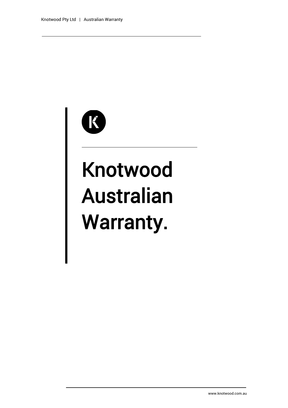

# Knotwood Australian Warranty.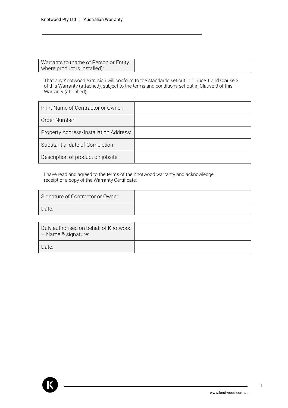| Warrants to (name of Person or Entity |  |
|---------------------------------------|--|
| where product is installed):          |  |

That any Knotwood extrusion will conform to the standards set out in Clause 1 and Clause 2 of this Warranty (attached), subject to the terms and conditions set out in Clause 3 of this Warranty (attached).

| Print Name of Contractor or Owner:     |  |
|----------------------------------------|--|
| Order Number:                          |  |
| Property Address/Installation Address: |  |
| Substantial date of Completion:        |  |
| Description of product on jobsite:     |  |

I have read and agreed to the terms of the Knotwood warranty and acknowledge receipt of a copy of the Warranty Certificate.

| Signature of Contractor or Owner: |  |
|-----------------------------------|--|
| Date:                             |  |

| Duly authorised on behalf of Knotwood<br>- Name & signature: |  |
|--------------------------------------------------------------|--|
| Date:                                                        |  |

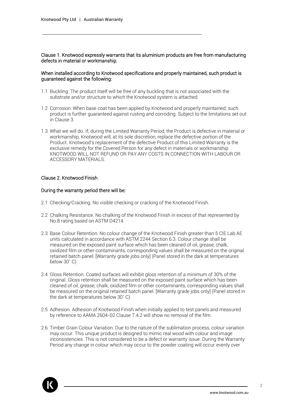Clause 1. Knotwood expressly warrants that its aluminium products are free from manufacturing defects in material or workmanship.

### When installed according to Knotwood specifications and properly maintained, such product is guaranteed against the following:

- 1.1 Buckling: The product itself will be free of any buckling that is not associated with the substrate and/or structure to which the Knotwood system is attached.
- 1.2 Corrosion: When base coat has been applied by Knotwood and properly maintained, such product is further guaranteed against rusting and corroding. Subject to the limitations set out in Clause 3.
- 1.3 What we will do. If, during the Limited Warranty Period, the Product is defective in material or workmanship, Knotwood will, at its sole discretion, replace the defective portion of the Product. Knotwood's replacement of the defective Product of this Limited Warranty is the exclusive remedy for the Covered Person for any defect in materials or workmanship. KNOTWOOD WILL NOT REFUND OR PAY ANY COSTS IN CONNECTION WITH LABOUR OR ACCESSORY MATERIALS.

# Clause 2. Knotwood Finish

### During the warranty period there will be:

- 2.1 Checking/Cracking. No visible checking or cracking of the Knotwood Finish.
- 2.2 Chalking Resistance. No chalking of the Knotwood Finish in excess of that represented by No.8 rating based on ASTM D4214.
- 2.3 Base Colour Retention. No colour change of the Knotwood Finish greater than 5 CIE Lab AE units calculated in accordance with ASTM 2244 Section 6.3. Colour change shall be measured on the exposed paint surface which has been cleaned of oil, grease, chalk, oxidized film or other contaminants, corresponding values shall be measured on the original retained batch panel. [Warranty grade jobs only] (Panel stored in the dark at temperatures below 30˚ C)
- 2.4 Gloss Retention. Coated surfaces will exhibit gloss retention of a minimum of 30% of the original. Gloss retention shall be measured on the exposed paint surface which has been cleaned of oil, grease, chalk, oxidized film or other contaminants, corresponding values shall be measured on the original retained batch panel. [Warranty grade jobs only] (Panel stored in the dark at temperatures below 30˚ C)
- 2.5 Adhesion. Adhesion of Knotwood Finish when initially applied to test panels and measured by reference to AAMA 2604-02 Clause 7.4.2 will show no removal of the film.
- 2.6 Timber Grain Colour Variation. Due to the nature of the sublimation process, colour variation may occur. This unique product is designed to mimic real wood with colour and image inconsistencies. This is not considered to be a defect or warranty issue. During the Warranty Period any change in colour which may occur to the powder coating will occur evenly over

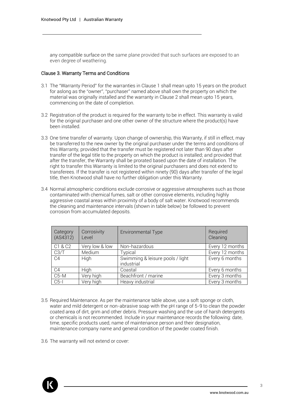any compatible surface on the same plane provided that such surfaces are exposed to an even degree of weathering.

# Clause 3. Warranty Terms and Conditions

- 3.1 The "Warranty Period" for the warranties in Clause 1 shall mean upto 15 years on the product for aslong as the "owner", "purchaser" named above shall own the property on which the material was originally installed and the warranty in Clause 2 shall mean upto 15 years, commencing on the date of completion.
- 3.2 Registration of the product is required for the warranty to be in effect. This warranty is valid for the original purchaser and one other owner of the structure where the product(s) have been installed.
- 3.3 One time transfer of warranty. Upon change of ownership, this Warranty, if still in effect, may be transferred to the new owner by the original purchaser under the terms and conditions of this Warranty, provided that the transfer must be registered not later than 90 days after transfer of the legal title to the property on which the product is installed; and provided that after the transfer, the Warranty shall be prorated based upon the date of installation. The right to transfer this Warranty is limited to the original purchasers and does not extend to transferees. If the transfer is not registered within ninety (90) days after transfer of the legal title, then Knotwood shall have no further obligation under this Warranty.
- 3.4 Normal atmospheric conditions exclude corrosive or aggressive atmospheres such as those contaminated with chemical fumes, salt or other corrosive elements, including highly aggressive coastal areas within proximity of a body of salt water. Knotwood recommends the cleaning and maintenance intervals (shown in table below) be followed to prevent corrosion from accumulated deposits.

| Category<br>(AS4312) | Corrosivity<br>Level | <b>Environmental Type</b>                      | Required<br>Cleaning |
|----------------------|----------------------|------------------------------------------------|----------------------|
| C1 & C2              | Very low & low       | Non-hazardous                                  | Every 12 months      |
| C3/T                 | Medium               | Typical                                        | Every 12 months      |
| C <sub>4</sub>       | High                 | Swimming & leisure pools / light<br>industrial | Every 6 months       |
| C <sub>4</sub>       | High                 | Coastal                                        | Every 6 months       |
| $C5-M$               | Very high            | Beachfront / marine                            | Every 3 months       |
| $C5$ -I              | Very high            | Heavy industrial                               | Every 3 months       |

- 3.5 Required Maintenance. As per the maintenance table above, use a soft sponge or cloth, water and mild detergent or non-abrasive soap with the pH range of 5-9 to clean the powder coated area of dirt, grim and other debris. Pressure washing and the use of harsh detergents or chemicals is not recommended. Include in your maintenance records the following: date, time, specific products used, name of maintenance person and their designation, maintenance company name and general condition of the powder coated finish.
- 3.6 The warranty will not extend or cover: